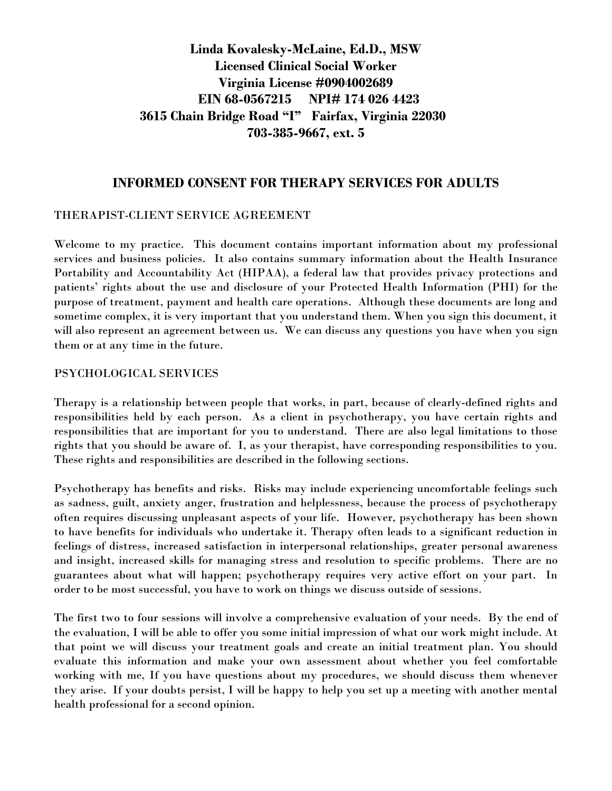# **Linda Kovalesky-McLaine, Ed.D., MSW Licensed Clinical Social Worker Virginia License #0904002689 EIN 68-0567215 NPI# 174 026 4423 3615 Chain Bridge Road "I" Fairfax, Virginia 22030 703-385-9667, ext. 5**

# **INFORMED CONSENT FOR THERAPY SERVICES FOR ADULTS**

#### THERAPIST-CLIENT SERVICE AGREEMENT

Welcome to my practice. This document contains important information about my professional services and business policies. It also contains summary information about the Health Insurance Portability and Accountability Act (HIPAA), a federal law that provides privacy protections and patients' rights about the use and disclosure of your Protected Health Information (PHI) for the purpose of treatment, payment and health care operations. Although these documents are long and sometime complex, it is very important that you understand them. When you sign this document, it will also represent an agreement between us. We can discuss any questions you have when you sign them or at any time in the future.

#### PSYCHOLOGICAL SERVICES

Therapy is a relationship between people that works, in part, because of clearly-defined rights and responsibilities held by each person. As a client in psychotherapy, you have certain rights and responsibilities that are important for you to understand. There are also legal limitations to those rights that you should be aware of. I, as your therapist, have corresponding responsibilities to you. These rights and responsibilities are described in the following sections.

Psychotherapy has benefits and risks. Risks may include experiencing uncomfortable feelings such as sadness, guilt, anxiety anger, frustration and helplessness, because the process of psychotherapy often requires discussing unpleasant aspects of your life. However, psychotherapy has been shown to have benefits for individuals who undertake it. Therapy often leads to a significant reduction in feelings of distress, increased satisfaction in interpersonal relationships, greater personal awareness and insight, increased skills for managing stress and resolution to specific problems. There are no guarantees about what will happen; psychotherapy requires very active effort on your part. In order to be most successful, you have to work on things we discuss outside of sessions.

The first two to four sessions will involve a comprehensive evaluation of your needs. By the end of the evaluation, I will be able to offer you some initial impression of what our work might include. At that point we will discuss your treatment goals and create an initial treatment plan. You should evaluate this information and make your own assessment about whether you feel comfortable working with me, If you have questions about my procedures, we should discuss them whenever they arise. If your doubts persist, I will be happy to help you set up a meeting with another mental health professional for a second opinion.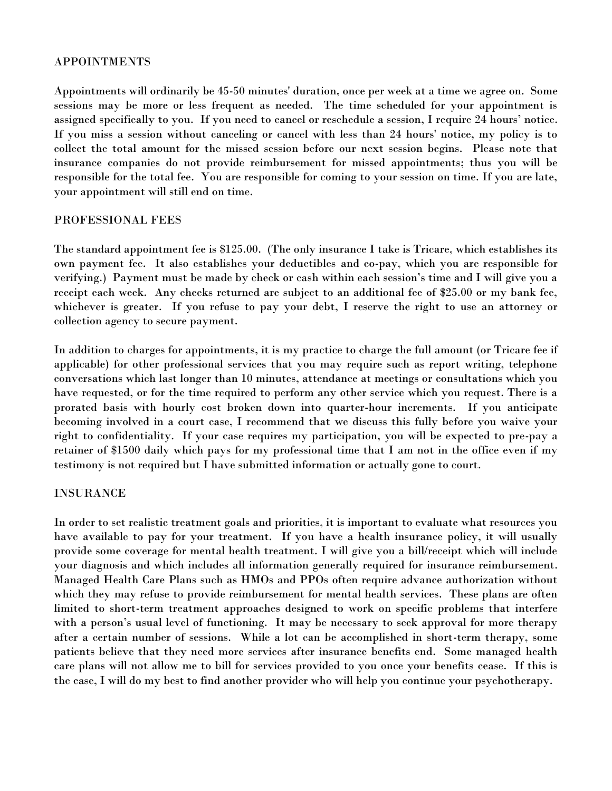#### APPOINTMENTS

Appointments will ordinarily be 45-50 minutes' duration, once per week at a time we agree on. Some sessions may be more or less frequent as needed. The time scheduled for your appointment is assigned specifically to you. If you need to cancel or reschedule a session, I require 24 hours' notice. If you miss a session without canceling or cancel with less than 24 hours' notice, my policy is to collect the total amount for the missed session before our next session begins. Please note that insurance companies do not provide reimbursement for missed appointments; thus you will be responsible for the total fee. You are responsible for coming to your session on time. If you are late, your appointment will still end on time.

## PROFESSIONAL FEES

The standard appointment fee is \$125.00. (The only insurance I take is Tricare, which establishes its own payment fee. It also establishes your deductibles and co-pay, which you are responsible for verifying.) Payment must be made by check or cash within each session's time and I will give you a receipt each week. Any checks returned are subject to an additional fee of \$25.00 or my bank fee, whichever is greater. If you refuse to pay your debt, I reserve the right to use an attorney or collection agency to secure payment.

In addition to charges for appointments, it is my practice to charge the full amount (or Tricare fee if applicable) for other professional services that you may require such as report writing, telephone conversations which last longer than 10 minutes, attendance at meetings or consultations which you have requested, or for the time required to perform any other service which you request. There is a prorated basis with hourly cost broken down into quarter-hour increments. If you anticipate becoming involved in a court case, I recommend that we discuss this fully before you waive your right to confidentiality. If your case requires my participation, you will be expected to pre-pay a retainer of \$1500 daily which pays for my professional time that I am not in the office even if my testimony is not required but I have submitted information or actually gone to court.

## INSURANCE

In order to set realistic treatment goals and priorities, it is important to evaluate what resources you have available to pay for your treatment. If you have a health insurance policy, it will usually provide some coverage for mental health treatment. I will give you a bill/receipt which will include your diagnosis and which includes all information generally required for insurance reimbursement. Managed Health Care Plans such as HMOs and PPOs often require advance authorization without which they may refuse to provide reimbursement for mental health services. These plans are often limited to short-term treatment approaches designed to work on specific problems that interfere with a person's usual level of functioning. It may be necessary to seek approval for more therapy after a certain number of sessions. While a lot can be accomplished in short-term therapy, some patients believe that they need more services after insurance benefits end. Some managed health care plans will not allow me to bill for services provided to you once your benefits cease. If this is the case, I will do my best to find another provider who will help you continue your psychotherapy.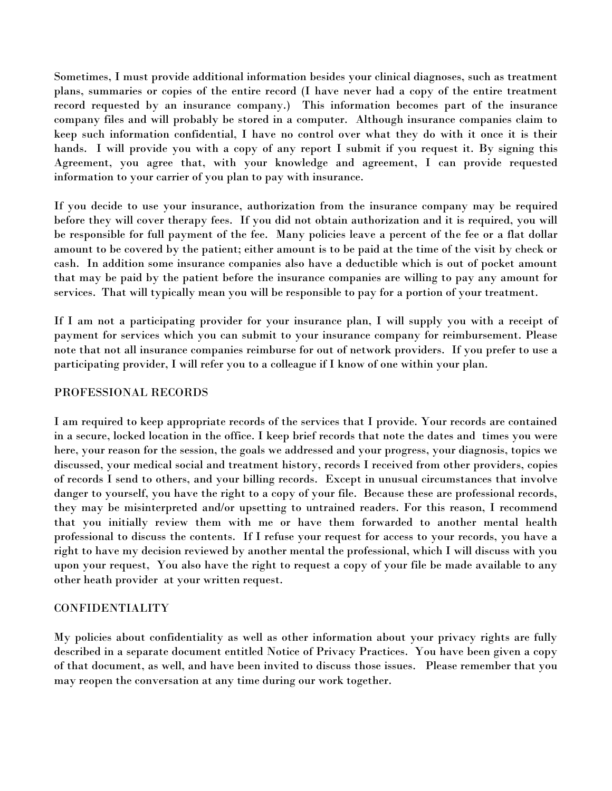Sometimes, I must provide additional information besides your clinical diagnoses, such as treatment plans, summaries or copies of the entire record (I have never had a copy of the entire treatment record requested by an insurance company.) This information becomes part of the insurance company files and will probably be stored in a computer. Although insurance companies claim to keep such information confidential, I have no control over what they do with it once it is their hands. I will provide you with a copy of any report I submit if you request it. By signing this Agreement, you agree that, with your knowledge and agreement, I can provide requested information to your carrier of you plan to pay with insurance.

If you decide to use your insurance, authorization from the insurance company may be required before they will cover therapy fees. If you did not obtain authorization and it is required, you will be responsible for full payment of the fee. Many policies leave a percent of the fee or a flat dollar amount to be covered by the patient; either amount is to be paid at the time of the visit by check or cash. In addition some insurance companies also have a deductible which is out of pocket amount that may be paid by the patient before the insurance companies are willing to pay any amount for services. That will typically mean you will be responsible to pay for a portion of your treatment.

If I am not a participating provider for your insurance plan, I will supply you with a receipt of payment for services which you can submit to your insurance company for reimbursement. Please note that not all insurance companies reimburse for out of network providers. If you prefer to use a participating provider, I will refer you to a colleague if I know of one within your plan.

## PROFESSIONAL RECORDS

I am required to keep appropriate records of the services that I provide. Your records are contained in a secure, locked location in the office. I keep brief records that note the dates and times you were here, your reason for the session, the goals we addressed and your progress, your diagnosis, topics we discussed, your medical social and treatment history, records I received from other providers, copies of records I send to others, and your billing records. Except in unusual circumstances that involve danger to yourself, you have the right to a copy of your file. Because these are professional records, they may be misinterpreted and/or upsetting to untrained readers. For this reason, I recommend that you initially review them with me or have them forwarded to another mental health professional to discuss the contents. If I refuse your request for access to your records, you have a right to have my decision reviewed by another mental the professional, which I will discuss with you upon your request, You also have the right to request a copy of your file be made available to any other heath provider at your written request.

## CONFIDENTIALITY

My policies about confidentiality as well as other information about your privacy rights are fully described in a separate document entitled Notice of Privacy Practices. You have been given a copy of that document, as well, and have been invited to discuss those issues. Please remember that you may reopen the conversation at any time during our work together.